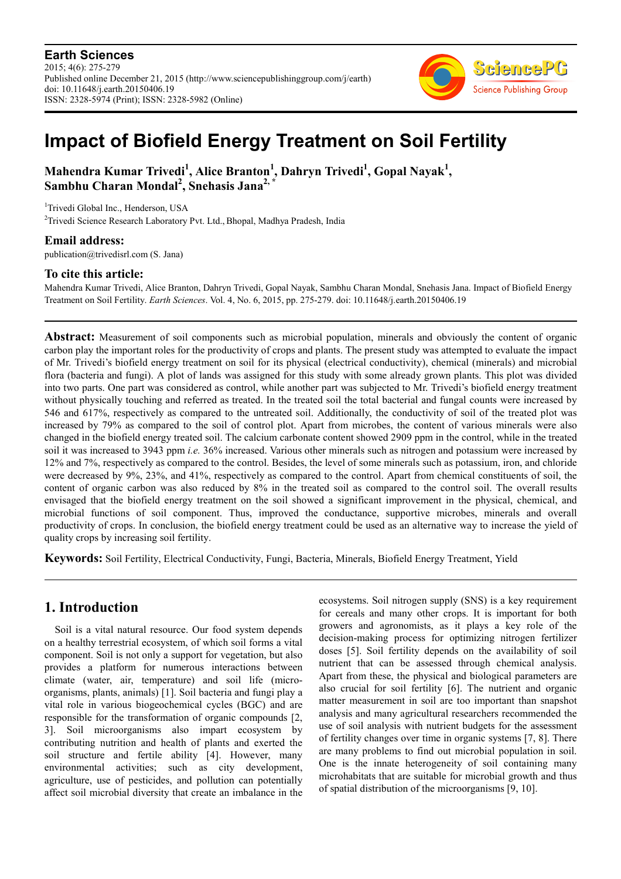**Earth Sciences** 2015; 4(6): 275-279 Published online December 21, 2015 (http://www.sciencepublishinggroup.com/j/earth) doi: 10.11648/j.earth.20150406.19 ISSN: 2328-5974 (Print); ISSN: 2328-5982 (Online)



# **Impact of Biofield Energy Treatment on Soil Fertility**

# **Mahendra Kumar Trivedi<sup>1</sup> , Alice Branton<sup>1</sup> , Dahryn Trivedi<sup>1</sup> , Gopal Nayak<sup>1</sup> , Sambhu Charan Mondal<sup>2</sup> , Snehasis Jana2, \***

<sup>1</sup>Trivedi Global Inc., Henderson, USA <sup>2</sup>Trivedi Science Research Laboratory Pvt. Ltd., Bhopal, Madhya Pradesh, India

**Email address:** 

publication@trivedisrl.com (S. Jana)

## **To cite this article:**

Mahendra Kumar Trivedi, Alice Branton, Dahryn Trivedi, Gopal Nayak, Sambhu Charan Mondal, Snehasis Jana. Impact of Biofield Energy Treatment on Soil Fertility. *Earth Sciences*. Vol. 4, No. 6, 2015, pp. 275-279. doi: 10.11648/j.earth.20150406.19

**Abstract:** Measurement of soil components such as microbial population, minerals and obviously the content of organic carbon play the important roles for the productivity of crops and plants. The present study was attempted to evaluate the impact of Mr. Trivedi's biofield energy treatment on soil for its physical (electrical conductivity), chemical (minerals) and microbial flora (bacteria and fungi). A plot of lands was assigned for this study with some already grown plants. This plot was divided into two parts. One part was considered as control, while another part was subjected to Mr. Trivedi's biofield energy treatment without physically touching and referred as treated. In the treated soil the total bacterial and fungal counts were increased by 546 and 617%, respectively as compared to the untreated soil. Additionally, the conductivity of soil of the treated plot was increased by 79% as compared to the soil of control plot. Apart from microbes, the content of various minerals were also changed in the biofield energy treated soil. The calcium carbonate content showed 2909 ppm in the control, while in the treated soil it was increased to 3943 ppm *i.e.* 36% increased. Various other minerals such as nitrogen and potassium were increased by 12% and 7%, respectively as compared to the control. Besides, the level of some minerals such as potassium, iron, and chloride were decreased by 9%, 23%, and 41%, respectively as compared to the control. Apart from chemical constituents of soil, the content of organic carbon was also reduced by 8% in the treated soil as compared to the control soil. The overall results envisaged that the biofield energy treatment on the soil showed a significant improvement in the physical, chemical, and microbial functions of soil component. Thus, improved the conductance, supportive microbes, minerals and overall productivity of crops. In conclusion, the biofield energy treatment could be used as an alternative way to increase the yield of quality crops by increasing soil fertility.

**Keywords:** Soil Fertility, Electrical Conductivity, Fungi, Bacteria, Minerals, Biofield Energy Treatment, Yield

# **1. Introduction**

Soil is a vital natural resource. Our food system depends on a healthy terrestrial ecosystem, of which soil forms a vital component. Soil is not only a support for vegetation, but also provides a platform for numerous interactions between climate (water, air, temperature) and soil life (microorganisms, plants, animals) [1]. Soil bacteria and fungi play a vital role in various biogeochemical cycles (BGC) and are responsible for the transformation of organic compounds [2, 3]. Soil microorganisms also impart ecosystem by contributing nutrition and health of plants and exerted the soil structure and fertile ability [4]. However, many environmental activities; such as city development, agriculture, use of pesticides, and pollution can potentially affect soil microbial diversity that create an imbalance in the ecosystems. Soil nitrogen supply (SNS) is a key requirement for cereals and many other crops. It is important for both growers and agronomists, as it plays a key role of the decision-making process for optimizing nitrogen fertilizer doses [5]. Soil fertility depends on the availability of soil nutrient that can be assessed through chemical analysis. Apart from these, the physical and biological parameters are also crucial for soil fertility [6]. The nutrient and organic matter measurement in soil are too important than snapshot analysis and many agricultural researchers recommended the use of soil analysis with nutrient budgets for the assessment of fertility changes over time in organic systems [7, 8]. There are many problems to find out microbial population in soil. One is the innate heterogeneity of soil containing many microhabitats that are suitable for microbial growth and thus of spatial distribution of the microorganisms [9, 10].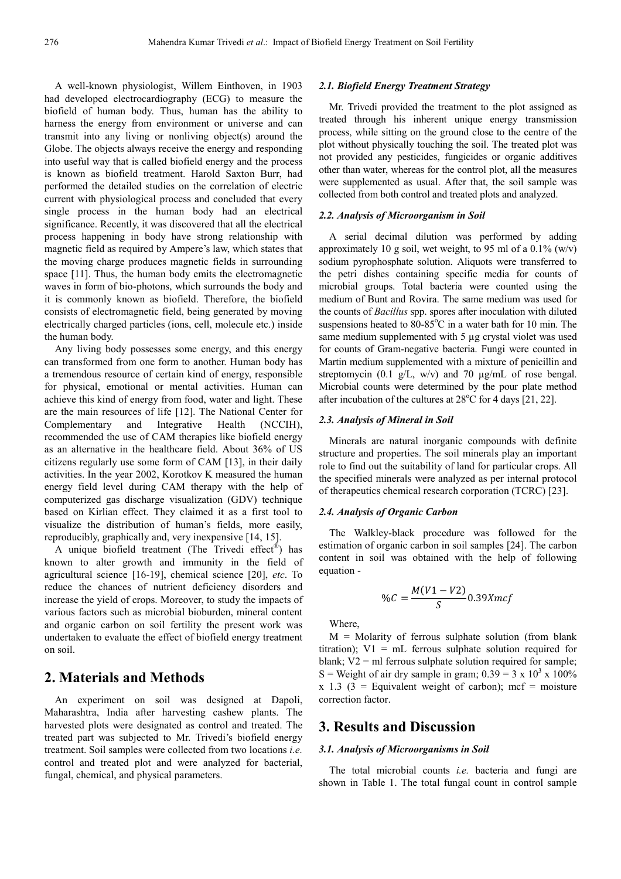A well-known physiologist, Willem Einthoven, in 1903 had developed electrocardiography (ECG) to measure the biofield of human body. Thus, human has the ability to harness the energy from environment or universe and can transmit into any living or nonliving object(s) around the Globe. The objects always receive the energy and responding into useful way that is called biofield energy and the process is known as biofield treatment. Harold Saxton Burr, had performed the detailed studies on the correlation of electric current with physiological process and concluded that every single process in the human body had an electrical significance. Recently, it was discovered that all the electrical process happening in body have strong relationship with magnetic field as required by Ampere's law, which states that the moving charge produces magnetic fields in surrounding space [11]. Thus, the human body emits the electromagnetic waves in form of bio-photons, which surrounds the body and it is commonly known as biofield. Therefore, the biofield consists of electromagnetic field, being generated by moving electrically charged particles (ions, cell, molecule etc.) inside the human body.

Any living body possesses some energy, and this energy can transformed from one form to another. Human body has a tremendous resource of certain kind of energy, responsible for physical, emotional or mental activities. Human can achieve this kind of energy from food, water and light. These are the main resources of life [12]. The National Center for Complementary and Integrative Health (NCCIH), recommended the use of CAM therapies like biofield energy as an alternative in the healthcare field. About 36% of US citizens regularly use some form of CAM [13], in their daily activities. In the year 2002, Korotkov K measured the human energy field level during CAM therapy with the help of computerized gas discharge visualization (GDV) technique based on Kirlian effect. They claimed it as a first tool to visualize the distribution of human's fields, more easily, reproducibly, graphically and, very inexpensive [14, 15].

A unique biofield treatment (The Trivedi effect® ) has known to alter growth and immunity in the field of agricultural science [16-19], chemical science [20], *etc*. To reduce the chances of nutrient deficiency disorders and increase the yield of crops. Moreover, to study the impacts of various factors such as microbial bioburden, mineral content and organic carbon on soil fertility the present work was undertaken to evaluate the effect of biofield energy treatment on soil.

# **2. Materials and Methods**

An experiment on soil was designed at Dapoli, Maharashtra, India after harvesting cashew plants. The harvested plots were designated as control and treated. The treated part was subjected to Mr. Trivedi's biofield energy treatment. Soil samples were collected from two locations *i.e.* control and treated plot and were analyzed for bacterial, fungal, chemical, and physical parameters.

## *2.1. Biofield Energy Treatment Strategy*

Mr. Trivedi provided the treatment to the plot assigned as treated through his inherent unique energy transmission process, while sitting on the ground close to the centre of the plot without physically touching the soil. The treated plot was not provided any pesticides, fungicides or organic additives other than water, whereas for the control plot, all the measures were supplemented as usual. After that, the soil sample was collected from both control and treated plots and analyzed.

### *2.2. Analysis of Microorganism in Soil*

A serial decimal dilution was performed by adding approximately 10 g soil, wet weight, to 95 ml of a  $0.1\%$  (w/v) sodium pyrophosphate solution. Aliquots were transferred to the petri dishes containing specific media for counts of microbial groups. Total bacteria were counted using the medium of Bunt and Rovira. The same medium was used for the counts of *Bacillus* spp. spores after inoculation with diluted suspensions heated to  $80-85^{\circ}$ C in a water bath for 10 min. The same medium supplemented with 5 µg crystal violet was used for counts of Gram-negative bacteria. Fungi were counted in Martin medium supplemented with a mixture of penicillin and streptomycin (0.1  $g/L$ , w/v) and 70  $\mu g/mL$  of rose bengal. Microbial counts were determined by the pour plate method after incubation of the cultures at  $28^{\circ}$ C for 4 days [21, 22].

#### *2.3. Analysis of Mineral in Soil*

Minerals are natural inorganic compounds with definite structure and properties. The soil minerals play an important role to find out the suitability of land for particular crops. All the specified minerals were analyzed as per internal protocol of therapeutics chemical research corporation (TCRC) [23].

### *2.4. Analysis of Organic Carbon*

The Walkley-black procedure was followed for the estimation of organic carbon in soil samples [24]. The carbon content in soil was obtained with the help of following equation -

$$
\%C = \frac{M(V1-V2)}{S}0.39Xmcf
$$

Where,

 $M =$  Molarity of ferrous sulphate solution (from blank titration);  $V1 = mL$  ferrous sulphate solution required for blank;  $V2 = ml$  ferrous sulphate solution required for sample; S = Weight of air dry sample in gram;  $0.39 = 3 \times 10^3 \times 100\%$  $x$  1.3 (3 = Equivalent weight of carbon); mcf = moisture correction factor.

## **3. Results and Discussion**

#### *3.1. Analysis of Microorganisms in Soil*

The total microbial counts *i.e.* bacteria and fungi are shown in Table 1. The total fungal count in control sample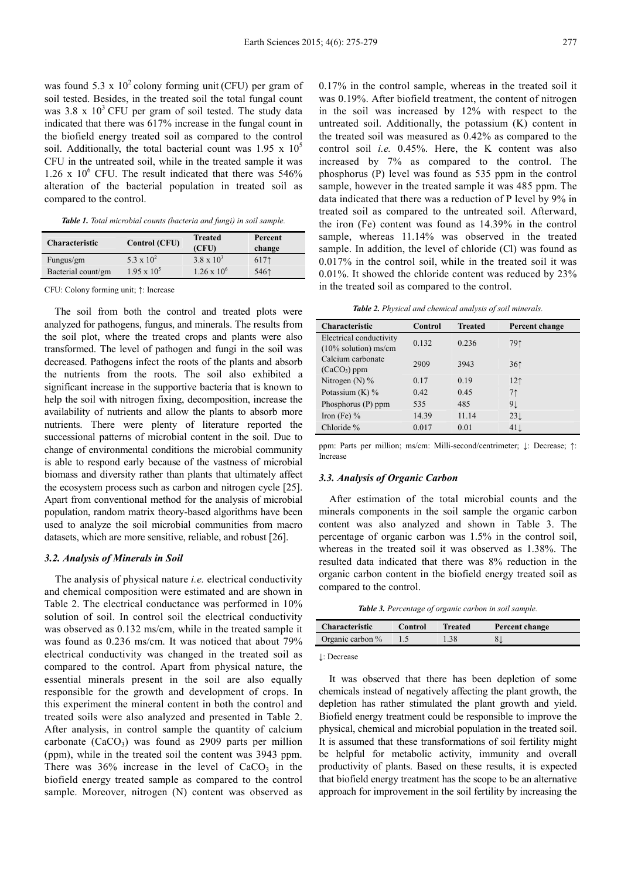was found  $5.3 \times 10^2$  colony forming unit (CFU) per gram of soil tested. Besides, in the treated soil the total fungal count was  $3.8 \times 10^3$  CFU per gram of soil tested. The study data indicated that there was 617% increase in the fungal count in the biofield energy treated soil as compared to the control soil. Additionally, the total bacterial count was  $1.95 \times 10^5$ CFU in the untreated soil, while in the treated sample it was 1.26 x  $10^6$  CFU. The result indicated that there was 546% alteration of the bacterial population in treated soil as compared to the control.

|  |  | <b>Table 1.</b> Total microbial counts (bacteria and fungi) in soil sample. |  |  |  |  |  |  |
|--|--|-----------------------------------------------------------------------------|--|--|--|--|--|--|
|--|--|-----------------------------------------------------------------------------|--|--|--|--|--|--|

| <b>Characteristic</b> | Control (CFU)      | <b>Treated</b><br>(CFU) | Percent<br>change |
|-----------------------|--------------------|-------------------------|-------------------|
| Fungus/gm             | 5.3 x $10^2$       | $3.8 \times 10^{3}$     | 6171              |
| Bacterial count/gm    | $1.95 \times 10^5$ | $1.26 \times 10^{6}$    | 5461              |

CFU: Colony forming unit; ↑: Increase

The soil from both the control and treated plots were analyzed for pathogens, fungus, and minerals. The results from the soil plot, where the treated crops and plants were also transformed. The level of pathogen and fungi in the soil was decreased. Pathogens infect the roots of the plants and absorb the nutrients from the roots. The soil also exhibited a significant increase in the supportive bacteria that is known to help the soil with nitrogen fixing, decomposition, increase the availability of nutrients and allow the plants to absorb more nutrients. There were plenty of literature reported the successional patterns of microbial content in the soil. Due to change of environmental conditions the microbial community is able to respond early because of the vastness of microbial biomass and diversity rather than plants that ultimately affect the ecosystem process such as carbon and nitrogen cycle [25]. Apart from conventional method for the analysis of microbial population, random matrix theory-based algorithms have been used to analyze the soil microbial communities from macro datasets, which are more sensitive, reliable, and robust [26].

#### *3.2. Analysis of Minerals in Soil*

The analysis of physical nature *i.e.* electrical conductivity and chemical composition were estimated and are shown in Table 2. The electrical conductance was performed in 10% solution of soil. In control soil the electrical conductivity was observed as 0.132 ms/cm, while in the treated sample it was found as 0.236 ms/cm. It was noticed that about 79% electrical conductivity was changed in the treated soil as compared to the control. Apart from physical nature, the essential minerals present in the soil are also equally responsible for the growth and development of crops. In this experiment the mineral content in both the control and treated soils were also analyzed and presented in Table 2. After analysis, in control sample the quantity of calcium carbonate  $(CaCO<sub>3</sub>)$  was found as 2909 parts per million (ppm), while in the treated soil the content was 3943 ppm. There was  $36\%$  increase in the level of CaCO<sub>3</sub> in the biofield energy treated sample as compared to the control sample. Moreover, nitrogen (N) content was observed as

0.17% in the control sample, whereas in the treated soil it was 0.19%. After biofield treatment, the content of nitrogen in the soil was increased by 12% with respect to the untreated soil. Additionally, the potassium (K) content in the treated soil was measured as 0.42% as compared to the control soil *i.e.* 0.45%. Here, the K content was also increased by 7% as compared to the control. The phosphorus (P) level was found as 535 ppm in the control sample, however in the treated sample it was 485 ppm. The data indicated that there was a reduction of P level by 9% in treated soil as compared to the untreated soil. Afterward, the iron (Fe) content was found as 14.39% in the control sample, whereas 11.14% was observed in the treated sample. In addition, the level of chloride (Cl) was found as 0.017% in the control soil, while in the treated soil it was 0.01%. It showed the chloride content was reduced by 23% in the treated soil as compared to the control.

*Table 2. Physical and chemical analysis of soil minerals.* 

| <b>Characteristic</b>                              | Control | <b>Treated</b> | Percent change  |
|----------------------------------------------------|---------|----------------|-----------------|
| Electrical conductivity<br>$(10\%$ solution) ms/cm | 0.132   | 0.236          | 791             |
| Calcium carbonate<br>$(CaCO3)$ ppm                 | 2909    | 3943           | 361             |
| Nitrogen (N) $%$                                   | 0.17    | 0.19           | 12 <sub>1</sub> |
| Potassium $(K)$ %                                  | 0.42    | 0.45           | 71              |
| Phosphorus (P) ppm                                 | 535     | 485            | 9 <sub>1</sub>  |
| Iron (Fe) $%$                                      | 14.39   | 11.14          | 23 <sub>1</sub> |
| Chloride %                                         | 0.017   | 0.01           | 41 <sub>1</sub> |

ppm: Parts per million; ms/cm: Milli-second/centrimeter; ↓: Decrease; ↑: Increase

#### *3.3. Analysis of Organic Carbon*

After estimation of the total microbial counts and the minerals components in the soil sample the organic carbon content was also analyzed and shown in Table 3. The percentage of organic carbon was 1.5% in the control soil, whereas in the treated soil it was observed as 1.38%. The resulted data indicated that there was 8% reduction in the organic carbon content in the biofield energy treated soil as compared to the control.

*Table 3. Percentage of organic carbon in soil sample.* 

| <b>Characteristic</b> | Control | <b>Treated</b> | Percent change |
|-----------------------|---------|----------------|----------------|
| Organic carbon %      |         | .38            |                |

↓: Decrease

It was observed that there has been depletion of some chemicals instead of negatively affecting the plant growth, the depletion has rather stimulated the plant growth and yield. Biofield energy treatment could be responsible to improve the physical, chemical and microbial population in the treated soil. It is assumed that these transformations of soil fertility might be helpful for metabolic activity, immunity and overall productivity of plants. Based on these results, it is expected that biofield energy treatment has the scope to be an alternative approach for improvement in the soil fertility by increasing the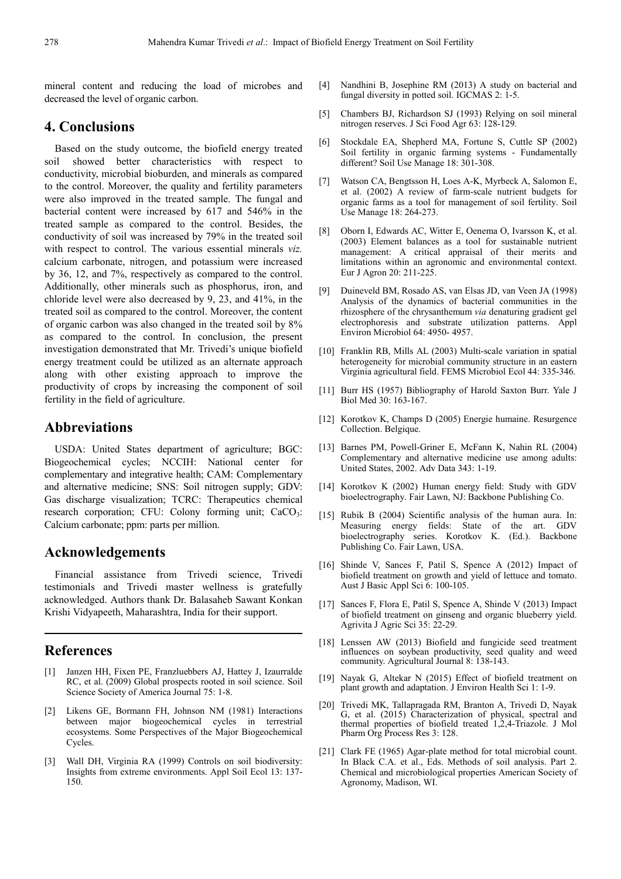mineral content and reducing the load of microbes and decreased the level of organic carbon.

## **4. Conclusions**

Based on the study outcome, the biofield energy treated soil showed better characteristics with respect to conductivity, microbial bioburden, and minerals as compared to the control. Moreover, the quality and fertility parameters were also improved in the treated sample. The fungal and bacterial content were increased by 617 and 546% in the treated sample as compared to the control. Besides, the conductivity of soil was increased by 79% in the treated soil with respect to control. The various essential minerals *viz.* calcium carbonate, nitrogen, and potassium were increased by 36, 12, and 7%, respectively as compared to the control. Additionally, other minerals such as phosphorus, iron, and chloride level were also decreased by 9, 23, and 41%, in the treated soil as compared to the control. Moreover, the content of organic carbon was also changed in the treated soil by 8% as compared to the control. In conclusion, the present investigation demonstrated that Mr. Trivedi's unique biofield energy treatment could be utilized as an alternate approach along with other existing approach to improve the productivity of crops by increasing the component of soil fertility in the field of agriculture.

## **Abbreviations**

USDA: United States department of agriculture; BGC: Biogeochemical cycles; NCCIH: National center for complementary and integrative health; CAM: Complementary and alternative medicine; SNS: Soil nitrogen supply; GDV: Gas discharge visualization; TCRC: Therapeutics chemical research corporation; CFU: Colony forming unit;  $CaCO<sub>3</sub>$ : Calcium carbonate; ppm: parts per million.

## **Acknowledgements**

Financial assistance from Trivedi science, Trivedi testimonials and Trivedi master wellness is gratefully acknowledged. Authors thank Dr. Balasaheb Sawant Konkan Krishi Vidyapeeth, Maharashtra, India for their support.

## **References**

- [1] Janzen HH, Fixen PE, Franzluebbers AJ, Hattey J, Izaurralde RC, et al. (2009) Global prospects rooted in soil science. Soil Science Society of America Journal 75: 1-8.
- [2] Likens GE, Bormann FH, Johnson NM (1981) Interactions between major biogeochemical cycles in terrestrial ecosystems. Some Perspectives of the Major Biogeochemical Cycles.
- [3] Wall DH, Virginia RA (1999) Controls on soil biodiversity: Insights from extreme environments. Appl Soil Ecol 13: 137- 150.
- [4] Nandhini B, Josephine RM (2013) A study on bacterial and fungal diversity in potted soil. IGCMAS 2: 1-5.
- [5] Chambers BJ, Richardson SJ (1993) Relying on soil mineral nitrogen reserves. J Sci Food Agr 63: 128-129.
- [6] Stockdale EA, Shepherd MA, Fortune S, Cuttle SP (2002) Soil fertility in organic farming systems - Fundamentally different? Soil Use Manage 18: 301-308.
- [7] Watson CA, Bengtsson H, Loes A-K, Myrbeck A, Salomon E, et al. (2002) A review of farm-scale nutrient budgets for organic farms as a tool for management of soil fertility. Soil Use Manage 18: 264-273.
- [8] Oborn I, Edwards AC, Witter E, Oenema O, Ivarsson K, et al. (2003) Element balances as a tool for sustainable nutrient management: A critical appraisal of their merits and limitations within an agronomic and environmental context. Eur J Agron 20: 211-225.
- [9] Duineveld BM, Rosado AS, van Elsas JD, van Veen JA (1998) Analysis of the dynamics of bacterial communities in the rhizosphere of the chrysanthemum *via* denaturing gradient gel electrophoresis and substrate utilization patterns. Appl Environ Microbiol 64: 4950- 4957.
- [10] Franklin RB, Mills AL (2003) Multi-scale variation in spatial heterogeneity for microbial community structure in an eastern Virginia agricultural field. FEMS Microbiol Ecol 44: 335-346.
- [11] Burr HS (1957) Bibliography of Harold Saxton Burr. Yale J Biol Med 30: 163-167.
- [12] Korotkov K, Champs D (2005) Energie humaine. Resurgence Collection. Belgique.
- [13] Barnes PM, Powell-Griner E, McFann K, Nahin RL (2004) Complementary and alternative medicine use among adults: United States, 2002. Adv Data 343: 1-19.
- [14] Korotkov K (2002) Human energy field: Study with GDV bioelectrography. Fair Lawn, NJ: Backbone Publishing Co.
- [15] Rubik B (2004) Scientific analysis of the human aura. In: Measuring energy fields: State of the art. GDV bioelectrography series. Korotkov K. (Ed.). Backbone Publishing Co. Fair Lawn, USA.
- [16] Shinde V, Sances F, Patil S, Spence A (2012) Impact of biofield treatment on growth and yield of lettuce and tomato. Aust J Basic Appl Sci 6: 100-105.
- [17] Sances F, Flora E, Patil S, Spence A, Shinde V (2013) Impact of biofield treatment on ginseng and organic blueberry yield. Agrivita J Agric Sci 35: 22-29.
- [18] Lenssen AW (2013) Biofield and fungicide seed treatment influences on soybean productivity, seed quality and weed community. Agricultural Journal 8: 138-143.
- [19] Nayak G, Altekar N (2015) Effect of biofield treatment on plant growth and adaptation. J Environ Health Sci 1: 1-9.
- [20] Trivedi MK, Tallapragada RM, Branton A, Trivedi D, Nayak G, et al. (2015) Characterization of physical, spectral and thermal properties of biofield treated 1,2,4-Triazole. J Mol Pharm Org Process Res 3: 128.
- [21] Clark FE (1965) Agar-plate method for total microbial count. In Black C.A. et al., Eds. Methods of soil analysis. Part 2. Chemical and microbiological properties American Society of Agronomy, Madison, WI.